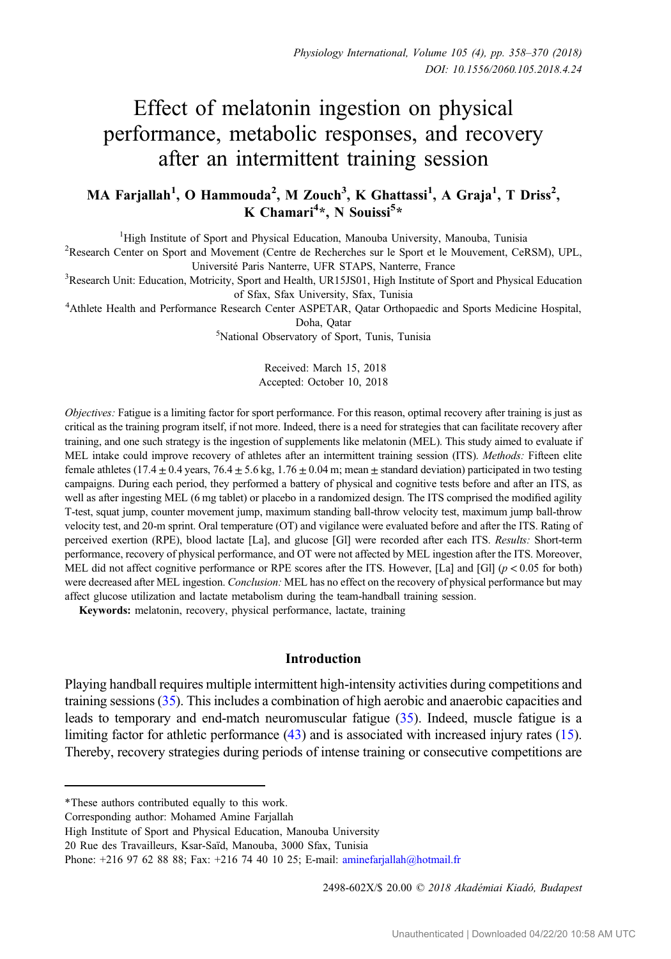# Effect of melatonin ingestion on physical performance, metabolic responses, and recovery after an intermittent training session

# MA Farjallah<sup>1</sup>, O Hammouda<sup>2</sup>, M Zouch<sup>3</sup>, K Ghattassi<sup>1</sup>, A Graja<sup>1</sup>, T Driss<sup>2</sup>, K Chamari<sup>4</sup>\*, N Souissi<sup>5</sup>\*

<sup>1</sup>High Institute of Sport and Physical Education, Manouba University, Manouba, Tunisia

High Institute of Sport and Physical Education, Manouba University, Manouba, Tunisia <sup>2</sup> Research Center on Sport and Movement (Centre de Recherches sur le Sport et le Mouvement, CeRSM), UPL,

Université Paris Nanterre, UFR STAPS, Nanterre, France<br>Research Unit: Education, Motricity, Sport and Health, UR15JS01, High Institute of Sport and Physical Education<sup>3</sup>

of Sfax, Sfax University, Sfax, Tunisia <sup>4</sup> Athlete Health and Performance Research Center ASPETAR, Qatar Orthopaedic and Sports Medicine Hospital,

Doha, Qatar<br><sup>5</sup>National Observatory of Sport, Tunis, Tunisia<sup>5</sup>

Received: March 15, 2018 Accepted: October 10, 2018

Objectives: Fatigue is a limiting factor for sport performance. For this reason, optimal recovery after training is just as critical as the training program itself, if not more. Indeed, there is a need for strategies that can facilitate recovery after training, and one such strategy is the ingestion of supplements like melatonin (MEL). This study aimed to evaluate if MEL intake could improve recovery of athletes after an intermittent training session (ITS). Methods: Fifteen elite female athletes (17.4  $\pm$  0.4 years, 76.4  $\pm$  5.6 kg, 1.76  $\pm$  0.04 m; mean  $\pm$  standard deviation) participated in two testing campaigns. During each period, they performed a battery of physical and cognitive tests before and after an ITS, as well as after ingesting MEL (6 mg tablet) or placebo in a randomized design. The ITS comprised the modified agility T-test, squat jump, counter movement jump, maximum standing ball-throw velocity test, maximum jump ball-throw velocity test, and 20-m sprint. Oral temperature (OT) and vigilance were evaluated before and after the ITS. Rating of perceived exertion (RPE), blood lactate [La], and glucose [Gl] were recorded after each ITS. Results: Short-term performance, recovery of physical performance, and OT were not affected by MEL ingestion after the ITS. Moreover, MEL did not affect cognitive performance or RPE scores after the ITS. However, [La] and [Gl] ( $p < 0.05$  for both) were decreased after MEL ingestion. Conclusion: MEL has no effect on the recovery of physical performance but may affect glucose utilization and lactate metabolism during the team-handball training session.

Keywords: melatonin, recovery, physical performance, lactate, training

## Introduction

Playing handball requires multiple intermittent high-intensity activities during competitions and training sessions [\(35\)](#page-11-0). This includes a combination of high aerobic and anaerobic capacities and leads to temporary and end-match neuromuscular fatigue ([35\)](#page-11-0). Indeed, muscle fatigue is a limiting factor for athletic performance [\(43\)](#page-12-0) and is associated with increased injury rates ([15](#page-10-0)). Thereby, recovery strategies during periods of intense training or consecutive competitions are

2498-602X/\$ 20.00 © 2018 Akadémiai Kiadó, Budapest

<sup>\*</sup>These authors contributed equally to this work.

Corresponding author: Mohamed Amine Farjallah

High Institute of Sport and Physical Education, Manouba University

<sup>20</sup> Rue des Travailleurs, Ksar-Saïd, Manouba, 3000 Sfax, Tunisia

Phone: +216 97 62 88 88; Fax: +216 74 40 10 25; E-mail: [aminefarjallah@hotmail.fr](mailto:aminefarjallah@hotmail.fr)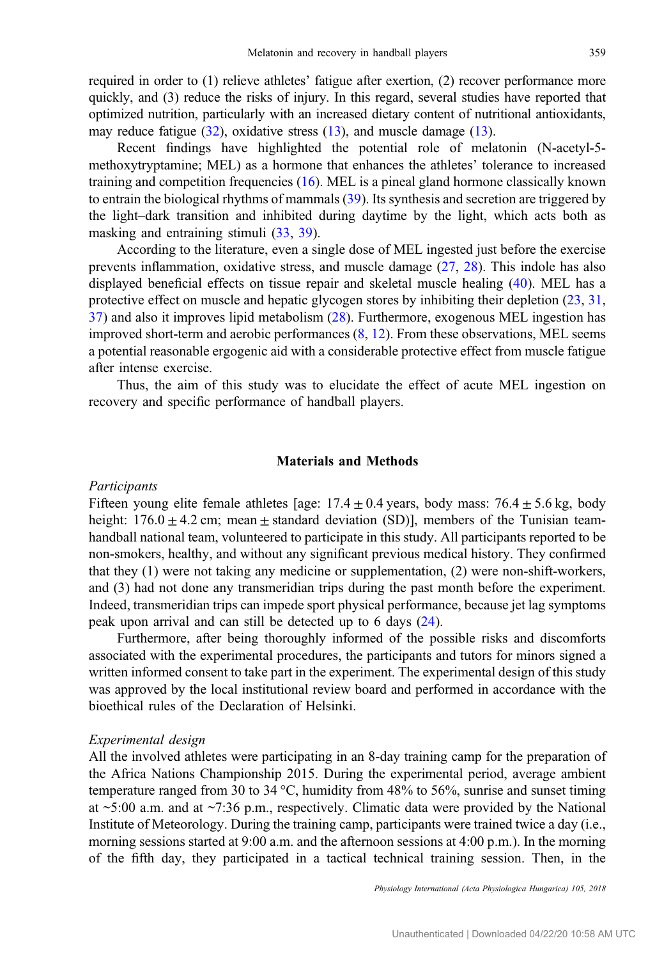required in order to (1) relieve athletes' fatigue after exertion, (2) recover performance more quickly, and (3) reduce the risks of injury. In this regard, several studies have reported that optimized nutrition, particularly with an increased dietary content of nutritional antioxidants, may reduce fatigue [\(32\)](#page-11-0), oxidative stress [\(13](#page-10-0)), and muscle damage ([13](#page-10-0)).

Recent findings have highlighted the potential role of melatonin (N-acetyl-5 methoxytryptamine; MEL) as a hormone that enhances the athletes' tolerance to increased training and competition frequencies ([16\)](#page-10-0). MEL is a pineal gland hormone classically known to entrain the biological rhythms of mammals [\(39](#page-11-0)). Its synthesis and secretion are triggered by the light–dark transition and inhibited during daytime by the light, which acts both as masking and entraining stimuli ([33,](#page-11-0) [39\)](#page-11-0).

According to the literature, even a single dose of MEL ingested just before the exercise prevents inflammation, oxidative stress, and muscle damage [\(27](#page-11-0), [28](#page-11-0)). This indole has also displayed beneficial effects on tissue repair and skeletal muscle healing [\(40](#page-11-0)). MEL has a protective effect on muscle and hepatic glycogen stores by inhibiting their depletion [\(23](#page-11-0), [31,](#page-11-0) [37](#page-11-0)) and also it improves lipid metabolism ([28\)](#page-11-0). Furthermore, exogenous MEL ingestion has improved short-term and aerobic performances  $(8, 12)$  $(8, 12)$  $(8, 12)$  $(8, 12)$ . From these observations, MEL seems a potential reasonable ergogenic aid with a considerable protective effect from muscle fatigue after intense exercise.

Thus, the aim of this study was to elucidate the effect of acute MEL ingestion on recovery and specific performance of handball players.

#### Materials and Methods

## Participants

Fifteen young elite female athletes [age:  $17.4 \pm 0.4$  years, body mass:  $76.4 \pm 5.6$  kg, body height:  $176.0 \pm 4.2$  cm; mean  $\pm$  standard deviation (SD)], members of the Tunisian teamhandball national team, volunteered to participate in this study. All participants reported to be non-smokers, healthy, and without any significant previous medical history. They confirmed that they (1) were not taking any medicine or supplementation, (2) were non-shift-workers, and (3) had not done any transmeridian trips during the past month before the experiment. Indeed, transmeridian trips can impede sport physical performance, because jet lag symptoms peak upon arrival and can still be detected up to 6 days ([24\)](#page-11-0).

Furthermore, after being thoroughly informed of the possible risks and discomforts associated with the experimental procedures, the participants and tutors for minors signed a written informed consent to take part in the experiment. The experimental design of this study was approved by the local institutional review board and performed in accordance with the bioethical rules of the Declaration of Helsinki.

#### Experimental design

All the involved athletes were participating in an 8-day training camp for the preparation of the Africa Nations Championship 2015. During the experimental period, average ambient temperature ranged from 30 to 34 °C, humidity from 48% to 56%, sunrise and sunset timing at  $\sim$ 5:00 a.m. and at  $\sim$ 7:36 p.m., respectively. Climatic data were provided by the National Institute of Meteorology. During the training camp, participants were trained twice a day (i.e., morning sessions started at 9:00 a.m. and the afternoon sessions at 4:00 p.m.). In the morning of the fifth day, they participated in a tactical technical training session. Then, in the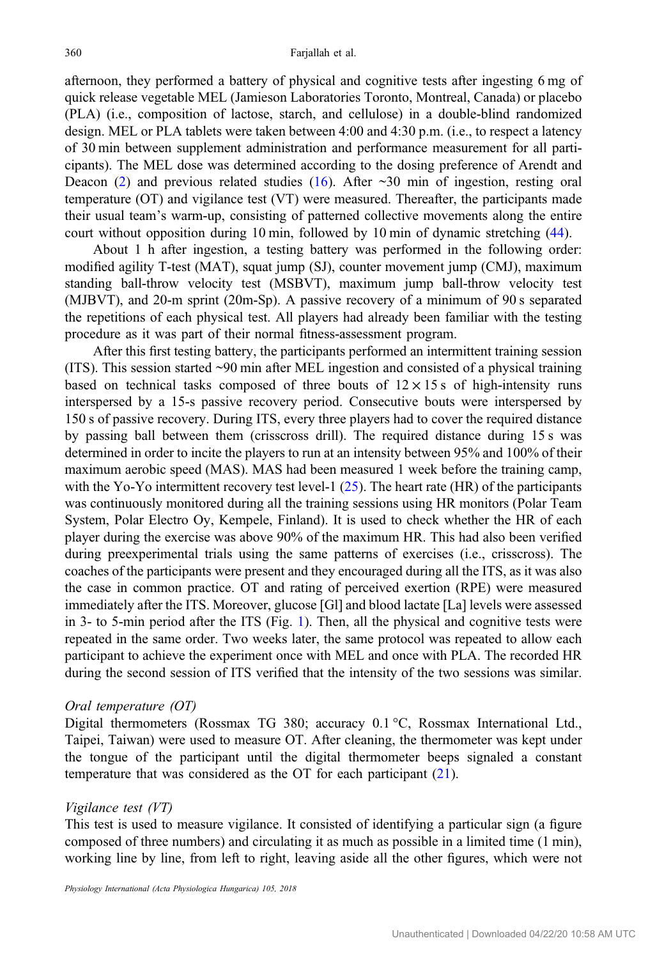afternoon, they performed a battery of physical and cognitive tests after ingesting 6 mg of quick release vegetable MEL (Jamieson Laboratories Toronto, Montreal, Canada) or placebo (PLA) (i.e., composition of lactose, starch, and cellulose) in a double-blind randomized design. MEL or PLA tablets were taken between 4:00 and 4:30 p.m. (i.e., to respect a latency of 30 min between supplement administration and performance measurement for all participants). The MEL dose was determined according to the dosing preference of Arendt and Deacon [\(2](#page-10-0)) and previous related studies ([16\)](#page-10-0). After  $\sim$  30 min of ingestion, resting oral temperature (OT) and vigilance test (VT) were measured. Thereafter, the participants made their usual team's warm-up, consisting of patterned collective movements along the entire court without opposition during 10 min, followed by 10 min of dynamic stretching [\(44](#page-12-0)).

About 1 h after ingestion, a testing battery was performed in the following order: modified agility T-test (MAT), squat jump (SJ), counter movement jump (CMJ), maximum standing ball-throw velocity test (MSBVT), maximum jump ball-throw velocity test (MJBVT), and 20-m sprint (20m-Sp). A passive recovery of a minimum of 90 s separated the repetitions of each physical test. All players had already been familiar with the testing procedure as it was part of their normal fitness-assessment program.

After this first testing battery, the participants performed an intermittent training session (ITS). This session started ~90 min after MEL ingestion and consisted of a physical training based on technical tasks composed of three bouts of  $12 \times 15$  s of high-intensity runs interspersed by a 15-s passive recovery period. Consecutive bouts were interspersed by 150 s of passive recovery. During ITS, every three players had to cover the required distance by passing ball between them (crisscross drill). The required distance during 15 s was determined in order to incite the players to run at an intensity between 95% and 100% of their maximum aerobic speed (MAS). MAS had been measured 1 week before the training camp, with the Yo-Yo intermittent recovery test level-1  $(25)$  $(25)$ . The heart rate (HR) of the participants was continuously monitored during all the training sessions using HR monitors (Polar Team System, Polar Electro Oy, Kempele, Finland). It is used to check whether the HR of each player during the exercise was above 90% of the maximum HR. This had also been verified during preexperimental trials using the same patterns of exercises (i.e., crisscross). The coaches of the participants were present and they encouraged during all the ITS, as it was also the case in common practice. OT and rating of perceived exertion (RPE) were measured immediately after the ITS. Moreover, glucose [Gl] and blood lactate [La] levels were assessed in 3- to 5-min period after the ITS (Fig. [1](#page-3-0)). Then, all the physical and cognitive tests were repeated in the same order. Two weeks later, the same protocol was repeated to allow each participant to achieve the experiment once with MEL and once with PLA. The recorded HR during the second session of ITS verified that the intensity of the two sessions was similar.

#### Oral temperature (OT)

Digital thermometers (Rossmax TG 380; accuracy 0.1 °C, Rossmax International Ltd., Taipei, Taiwan) were used to measure OT. After cleaning, the thermometer was kept under the tongue of the participant until the digital thermometer beeps signaled a constant temperature that was considered as the OT for each participant ([21\)](#page-11-0).

#### Vigilance test (VT)

This test is used to measure vigilance. It consisted of identifying a particular sign (a figure composed of three numbers) and circulating it as much as possible in a limited time (1 min), working line by line, from left to right, leaving aside all the other figures, which were not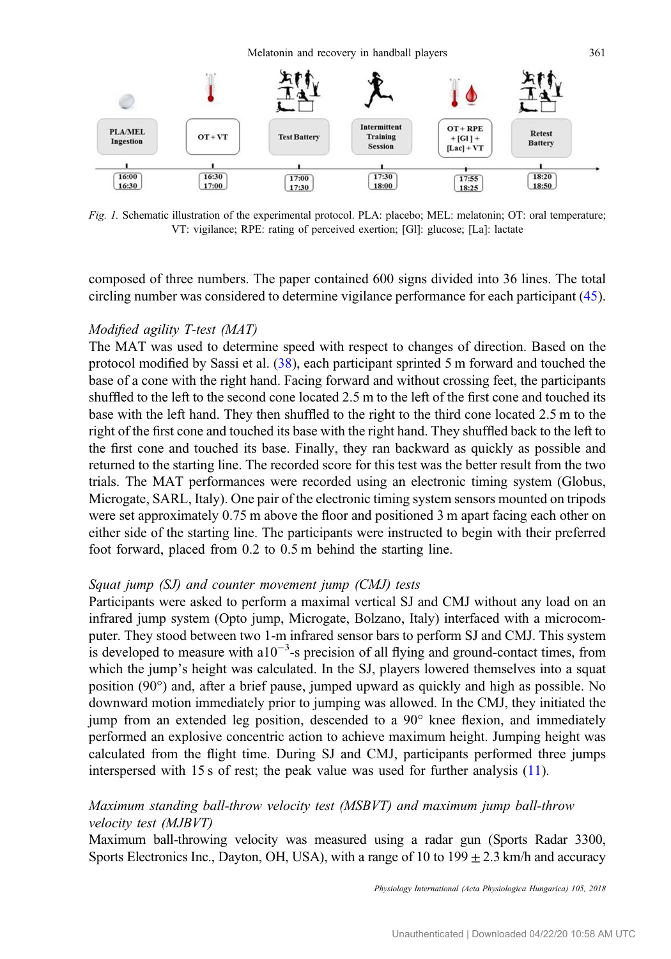<span id="page-3-0"></span>

Fig. 1. Schematic illustration of the experimental protocol. PLA: placebo; MEL: melatonin; OT: oral temperature; VT: vigilance; RPE: rating of perceived exertion; [Gl]: glucose; [La]: lactate

composed of three numbers. The paper contained 600 signs divided into 36 lines. The total circling number was considered to determine vigilance performance for each participant [\(45](#page-12-0)).

## Modified agility T-test (MAT)

The MAT was used to determine speed with respect to changes of direction. Based on the protocol modified by Sassi et al. [\(38](#page-11-0)), each participant sprinted 5 m forward and touched the base of a cone with the right hand. Facing forward and without crossing feet, the participants shuffled to the left to the second cone located 2.5 m to the left of the first cone and touched its base with the left hand. They then shuffled to the right to the third cone located 2.5 m to the right of the first cone and touched its base with the right hand. They shuffled back to the left to the first cone and touched its base. Finally, they ran backward as quickly as possible and returned to the starting line. The recorded score for this test was the better result from the two trials. The MAT performances were recorded using an electronic timing system (Globus, Microgate, SARL, Italy). One pair of the electronic timing system sensors mounted on tripods were set approximately 0.75 m above the floor and positioned 3 m apart facing each other on either side of the starting line. The participants were instructed to begin with their preferred foot forward, placed from 0.2 to 0.5 m behind the starting line.

## Squat jump (SJ) and counter movement jump (CMJ) tests

Participants were asked to perform a maximal vertical SJ and CMJ without any load on an infrared jump system (Opto jump, Microgate, Bolzano, Italy) interfaced with a microcomputer. They stood between two 1-m infrared sensor bars to perform SJ and CMJ. This system is developed to measure with a $10^{-3}$ -s precision of all flying and ground-contact times, from which the jump's height was calculated. In the SJ, players lowered themselves into a squat position (90°) and, after a brief pause, jumped upward as quickly and high as possible. No downward motion immediately prior to jumping was allowed. In the CMJ, they initiated the jump from an extended leg position, descended to a 90° knee flexion, and immediately performed an explosive concentric action to achieve maximum height. Jumping height was calculated from the flight time. During SJ and CMJ, participants performed three jumps interspersed with 15 s of rest; the peak value was used for further analysis [\(11](#page-10-0)).

## Maximum standing ball-throw velocity test (MSBVT) and maximum jump ball-throw velocity test (MJBVT)

Maximum ball-throwing velocity was measured using a radar gun (Sports Radar 3300, Sports Electronics Inc., Dayton, OH, USA), with a range of 10 to  $199 \pm 2.3$  km/h and accuracy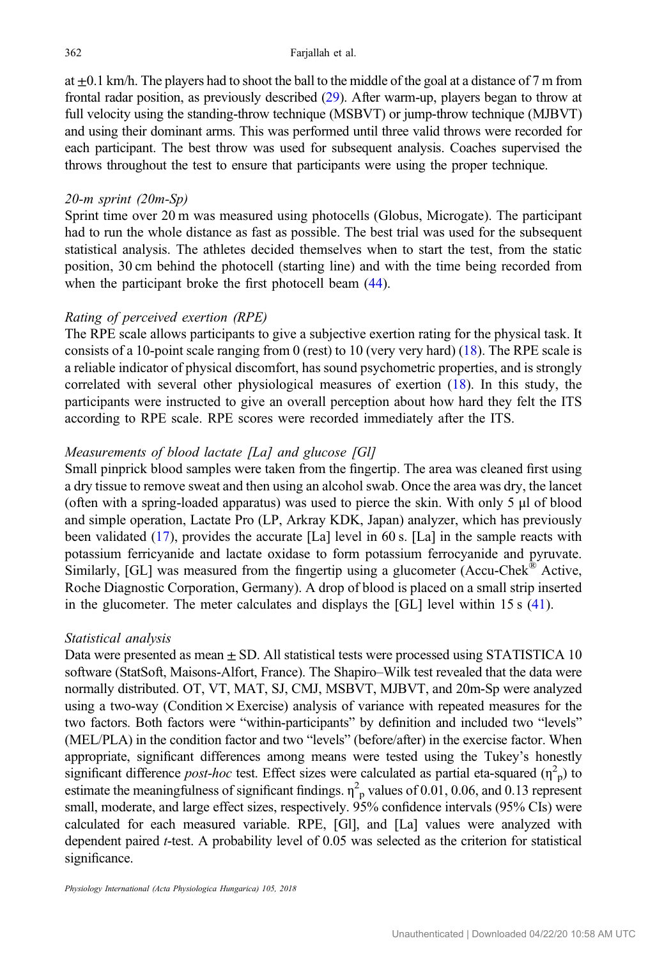at  $\pm 0.1$  km/h. The players had to shoot the ball to the middle of the goal at a distance of 7 m from frontal radar position, as previously described [\(29](#page-11-0)). After warm-up, players began to throw at full velocity using the standing-throw technique (MSBVT) or jump-throw technique (MJBVT) and using their dominant arms. This was performed until three valid throws were recorded for each participant. The best throw was used for subsequent analysis. Coaches supervised the throws throughout the test to ensure that participants were using the proper technique.

## 20-m sprint (20m-Sp)

Sprint time over 20 m was measured using photocells (Globus, Microgate). The participant had to run the whole distance as fast as possible. The best trial was used for the subsequent statistical analysis. The athletes decided themselves when to start the test, from the static position, 30 cm behind the photocell (starting line) and with the time being recorded from when the participant broke the first photocell beam  $(44)$  $(44)$ .

## Rating of perceived exertion (RPE)

The RPE scale allows participants to give a subjective exertion rating for the physical task. It consists of a 10-point scale ranging from 0 (rest) to 10 (very very hard) ([18\)](#page-10-0). The RPE scale is a reliable indicator of physical discomfort, has sound psychometric properties, and is strongly correlated with several other physiological measures of exertion ([18\)](#page-10-0). In this study, the participants were instructed to give an overall perception about how hard they felt the ITS according to RPE scale. RPE scores were recorded immediately after the ITS.

## Measurements of blood lactate [La] and glucose [Gl]

Small pinprick blood samples were taken from the fingertip. The area was cleaned first using a dry tissue to remove sweat and then using an alcohol swab. Once the area was dry, the lancet (often with a spring-loaded apparatus) was used to pierce the skin. With only 5 μl of blood and simple operation, Lactate Pro (LP, Arkray KDK, Japan) analyzer, which has previously been validated [\(17](#page-10-0)), provides the accurate [La] level in 60 s. [La] in the sample reacts with potassium ferricyanide and lactate oxidase to form potassium ferrocyanide and pyruvate. Similarly, [GL] was measured from the fingertip using a glucometer (Accu-Chek<sup>®</sup> Active, Roche Diagnostic Corporation, Germany). A drop of blood is placed on a small strip inserted in the glucometer. The meter calculates and displays the [GL] level within 15 s [\(41](#page-12-0)).

## Statistical analysis

Data were presented as mean  $\pm$  SD. All statistical tests were processed using STATISTICA 10 software (StatSoft, Maisons-Alfort, France). The Shapiro–Wilk test revealed that the data were normally distributed. OT, VT, MAT, SJ, CMJ, MSBVT, MJBVT, and 20m-Sp were analyzed using a two-way (Condition  $\times$  Exercise) analysis of variance with repeated measures for the two factors. Both factors were "within-participants" by definition and included two "levels" (MEL/PLA) in the condition factor and two "levels" (before/after) in the exercise factor. When appropriate, significant differences among means were tested using the Tukey's honestly significant difference *post-hoc* test. Effect sizes were calculated as partial eta-squared  $(\eta^2$ <sup>p</sup>) to estimate the meaningfulness of significant findings.  $\eta^2$ <sub>p</sub> values of 0.01, 0.06, and 0.13 represent small, moderate, and large effect sizes, respectively. 95% confidence intervals (95% CIs) were calculated for each measured variable. RPE, [Gl], and [La] values were analyzed with dependent paired t-test. A probability level of 0.05 was selected as the criterion for statistical significance.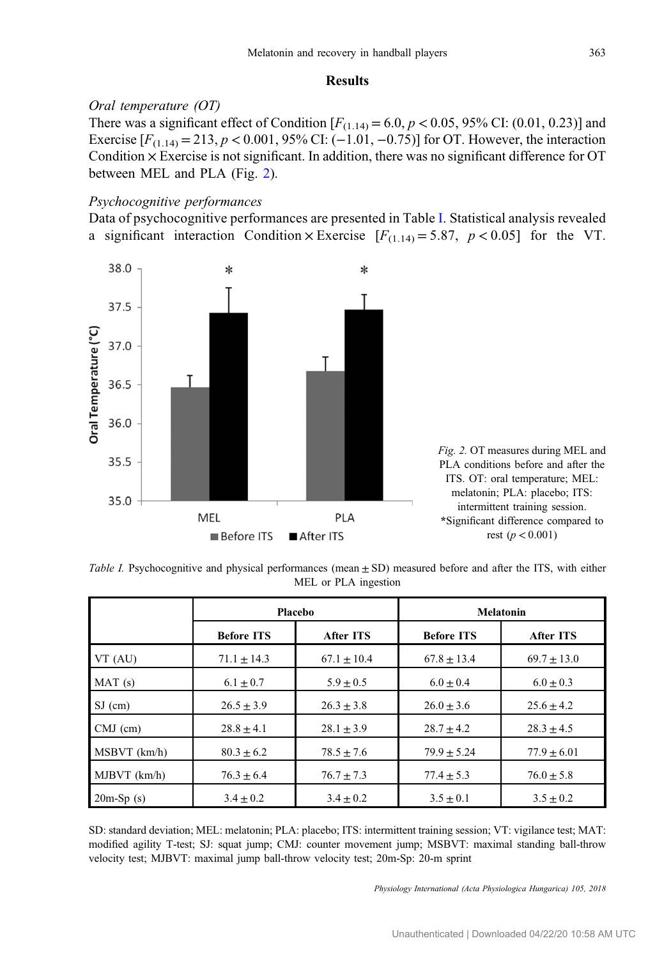## Results

# <span id="page-5-0"></span>Oral temperature (OT)

There was a significant effect of Condition  $[F_{(1.14)} = 6.0, p < 0.05, 95\%$  CI: (0.01, 0.23)] and Exercise  $[F_{(1.14)} = 213, p < 0.001, 95%$  CI: (−1.01, −0.75)] for OT. However, the interaction Condition  $\times$  Exercise is not significant. In addition, there was no significant difference for OT between MEL and PLA (Fig. 2).

## Psychocognitive performances

Data of psychocognitive performances are presented in Table I. Statistical analysis revealed a significant interaction Condition × Exercise  $[F_{(1,14)} = 5.87, p < 0.05]$  for the VT.



Table I. Psychocognitive and physical performances (mean  $\pm$  SD) measured before and after the ITS, with either MEL or PLA ingestion

|                  | Placebo           |                | Melatonin         |                 |
|------------------|-------------------|----------------|-------------------|-----------------|
|                  | <b>Before ITS</b> | After ITS      | <b>Before ITS</b> | After ITS       |
| VT (AU)          | $71.1 \pm 14.3$   | $67.1 + 10.4$  | $67.8 \pm 13.4$   | $69.7 \pm 13.0$ |
| MAT(s)           | $6.1 \pm 0.7$     | $5.9 \pm 0.5$  | $6.0 \pm 0.4$     | $6.0 \pm 0.3$   |
| $SJ$ (cm)        | $26.5 \pm 3.9$    | $26.3 \pm 3.8$ | $26.0 \pm 3.6$    | $25.6 \pm 4.2$  |
| $CMJ$ (cm)       | $28.8 \pm 4.1$    | $28.1 + 3.9$   | $28.7 + 4.2$      | $28.3 \pm 4.5$  |
| $MSBVT$ $(km/h)$ | $80.3 \pm 6.2$    | $78.5 \pm 7.6$ | $79.9 \pm 5.24$   | $77.9 \pm 6.01$ |
| $MJBVT$ $(km/h)$ | $76.3 \pm 6.4$    | $76.7 \pm 7.3$ | $77.4 \pm 5.3$    | $76.0 \pm 5.8$  |
| $20m-Sp(s)$      | $3.4 \pm 0.2$     | $3.4 \pm 0.2$  | $3.5 \pm 0.1$     | $3.5 \pm 0.2$   |

SD: standard deviation; MEL: melatonin; PLA: placebo; ITS: intermittent training session; VT: vigilance test; MAT: modified agility T-test; SJ: squat jump; CMJ: counter movement jump; MSBVT: maximal standing ball-throw velocity test; MJBVT: maximal jump ball-throw velocity test; 20m-Sp: 20-m sprint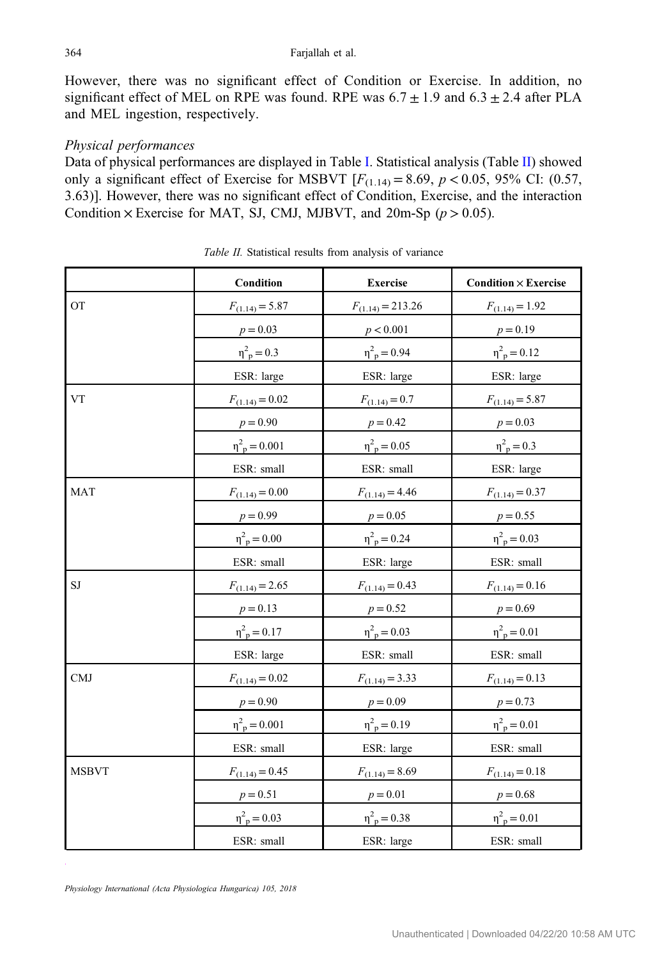However, there was no significant effect of Condition or Exercise. In addition, no significant effect of MEL on RPE was found. RPE was  $6.7 \pm 1.9$  and  $6.3 \pm 2.4$  after PLA and MEL ingestion, respectively.

## Physical performances

Data of physical performances are displayed in Table [I](#page-5-0). Statistical analysis (Table II) showed only a significant effect of Exercise for MSBVT  $[F_{(1,14)} = 8.69, p < 0.05, 95\% \text{ CI: } (0.57,$ 3.63)]. However, there was no significant effect of Condition, Exercise, and the interaction Condition  $\times$  Exercise for MAT, SJ, CMJ, MJBVT, and 20m-Sp ( $p > 0.05$ ).

|              | Condition                   | <b>Exercise</b>            | <b>Condition</b> $\times$ <b>Exercise</b> |
|--------------|-----------------------------|----------------------------|-------------------------------------------|
| <b>OT</b>    | $F_{(1.14)} = 5.87$         | $F_{(1.14)} = 213.26$      | $F_{(1.14)} = 1.92$                       |
|              | $p = 0.03$                  | p < 0.001                  | $p = 0.19$                                |
|              | $\eta^2_{\ p} = 0.3$        | $\eta^2_{\ p} = 0.94$      | $\eta_{\ p}^2 = 0.12$                     |
|              | ESR: large                  | ESR: large                 | ESR: large                                |
| <b>VT</b>    | $F_{(1.14)} = 0.02$         | $F_{(1.14)} = 0.7$         | $F_{(1.14)} = 5.87$                       |
|              | $p = 0.90$                  | $p = 0.42$                 | $p = 0.03$                                |
|              | $\eta^2_{\text{p}} = 0.001$ | $\eta^2_{\ p} = 0.05$      | $\eta^2_{\ p} = 0.3$                      |
|              | ESR: small                  | ESR: small                 | ESR: large                                |
| <b>MAT</b>   | $F_{(1.14)} = 0.00$         | $F_{(1.14)} = 4.46$        | $F_{(1.14)} = 0.37$                       |
|              | $p = 0.99$                  | $p = 0.05$                 | $p = 0.55$                                |
|              | $\eta^2_{\ p} = 0.00$       | $\eta_{\ p}^2 = 0.24$      | $\eta_p^2 = 0.03$                         |
|              | ESR: small                  | ESR: large                 | ESR: small                                |
| $\rm{SJ}$    | $F_{(1.14)} = 2.65$         | $F_{(1.14)} = 0.43$        | $F_{(1.14)} = 0.16$                       |
|              | $p = 0.13$                  | $p = 0.52$                 | $p = 0.69$                                |
|              | $\eta_{\text{p}}^2 = 0.17$  | $\eta_{\ p}^2 = 0.03$      | $\eta_{\text{p}}^2 = 0.01$                |
|              | ESR: large                  | ESR: small                 | ESR: small                                |
| CMJ          | $F_{(1.14)} = 0.02$         | $F_{(1.14)} = 3.33$        | $F_{(1.14)} = 0.13$                       |
|              | $p = 0.90$                  | $p = 0.09$                 | $p = 0.73$                                |
|              | $\eta^2_{\ p} = 0.001$      | $\eta_{\text{p}}^2 = 0.19$ | $\eta_{\text{p}}^2 = 0.01$                |
|              | ESR: small                  | ESR: large                 | ESR: small                                |
| <b>MSBVT</b> | $F_{(1.14)} = 0.45$         | $F_{(1.14)} = 8.69$        | $F_{(1.14)} = 0.18$                       |
|              | $p = 0.51$                  | $p = 0.01$                 | $p = 0.68$                                |
|              | $\eta_{\text{p}}^2 = 0.03$  | $\eta_{\text{p}}^2 = 0.38$ | $\eta_{\text{p}}^2 = 0.01$                |
|              | ESR: small                  | ESR: large                 | ESR: small                                |

Table II. Statistical results from analysis of variance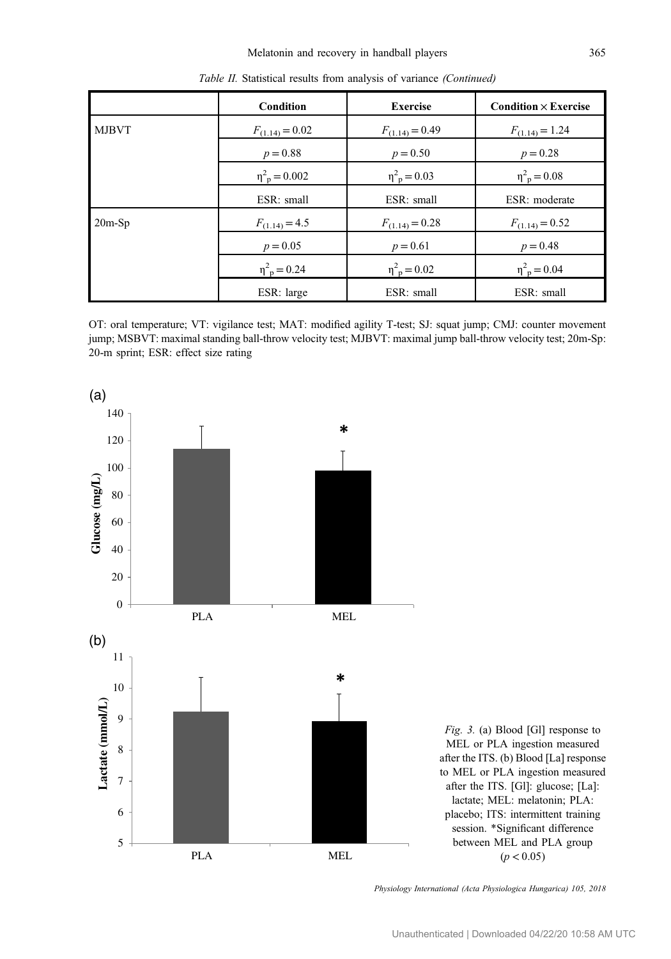<span id="page-7-0"></span>

| Table II. Statistical results from analysis of variance (Continued) |                             |                            |                                           |  |  |
|---------------------------------------------------------------------|-----------------------------|----------------------------|-------------------------------------------|--|--|
|                                                                     | <b>Condition</b>            | <b>Exercise</b>            | <b>Condition</b> $\times$ <b>Exercise</b> |  |  |
| <b>MJBVT</b>                                                        | $F_{(1.14)} = 0.02$         | $F_{(1.14)} = 0.49$        | $F_{(1.14)} = 1.24$                       |  |  |
|                                                                     | $p = 0.88$                  | $p = 0.50$                 | $p = 0.28$                                |  |  |
|                                                                     | $\eta_{\text{p}}^2 = 0.002$ | $\eta_{\text{p}}^2 = 0.03$ | $\eta_{\text{p}}^2 = 0.08$                |  |  |
|                                                                     | ESR: small                  | ESR: small                 | ESR: moderate                             |  |  |
| $20m-Sp$                                                            | $F_{(1.14)} = 4.5$          | $F_{(1.14)} = 0.28$        | $F_{(1.14)} = 0.52$                       |  |  |
|                                                                     | $p = 0.05$                  | $p = 0.61$                 | $p = 0.48$                                |  |  |
|                                                                     | $\eta_{\text{p}}^2 = 0.24$  | $\eta_{\text{p}}^2 = 0.02$ | $\eta_{\text{p}}^2 = 0.04$                |  |  |
|                                                                     | ESR: large                  | ESR: small                 | ESR: small                                |  |  |



OT: oral temperature; VT: vigilance test; MAT: modified agility T-test; SJ: squat jump; CMJ: counter movement jump; MSBVT: maximal standing ball-throw velocity test; MJBVT: maximal jump ball-throw velocity test; 20m-Sp: 20-m sprint; ESR: effect size rating

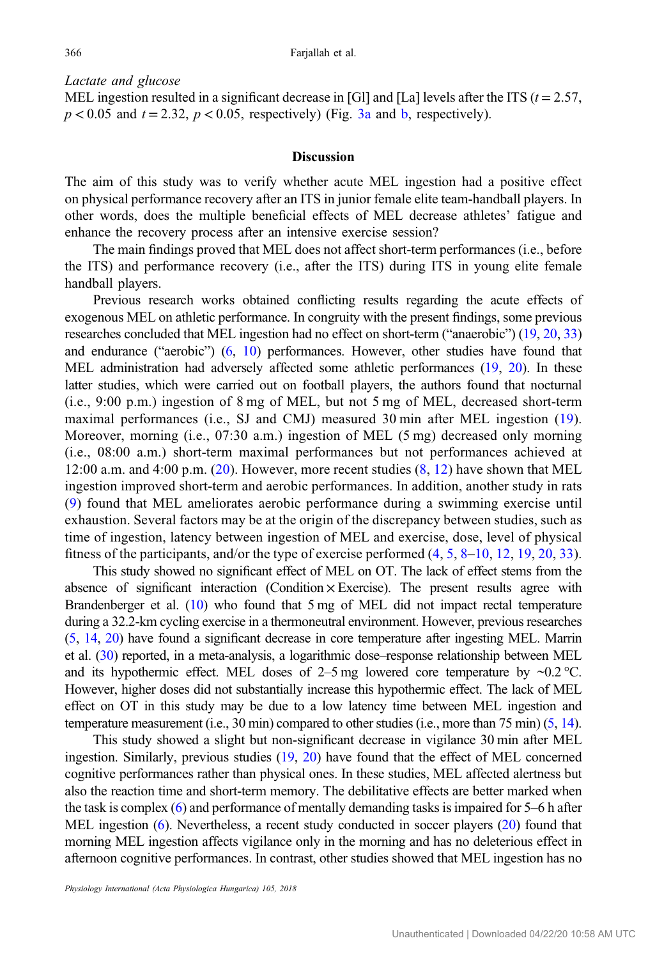Lactate and glucose

MEL ingestion resulted in a significant decrease in [Gl] and [La] levels after the ITS ( $t = 2.57$ ,  $p < 0.05$  and  $t = 2.32$ ,  $p < 0.05$ , respectively) (Fig. [3a](#page-7-0) and [b,](#page-7-0) respectively).

## **Discussion**

The aim of this study was to verify whether acute MEL ingestion had a positive effect on physical performance recovery after an ITS in junior female elite team-handball players. In other words, does the multiple beneficial effects of MEL decrease athletes' fatigue and enhance the recovery process after an intensive exercise session?

The main findings proved that MEL does not affect short-term performances (i.e., before the ITS) and performance recovery (i.e., after the ITS) during ITS in young elite female handball players.

Previous research works obtained conflicting results regarding the acute effects of exogenous MEL on athletic performance. In congruity with the present findings, some previous researches concluded that MEL ingestion had no effect on short-term ("anaerobic") [\(19,](#page-11-0) [20](#page-11-0), [33\)](#page-11-0) and endurance ("aerobic") [\(6](#page-10-0), [10\)](#page-10-0) performances. However, other studies have found that MEL administration had adversely affected some athletic performances [\(19,](#page-11-0) [20\)](#page-11-0). In these latter studies, which were carried out on football players, the authors found that nocturnal (i.e., 9:00 p.m.) ingestion of 8 mg of MEL, but not 5 mg of MEL, decreased short-term maximal performances (i.e., SJ and CMJ) measured 30 min after MEL ingestion ([19](#page-11-0)). Moreover, morning (i.e., 07:30 a.m.) ingestion of MEL (5 mg) decreased only morning (i.e., 08:00 a.m.) short-term maximal performances but not performances achieved at 12:00 a.m. and  $4:00$  p.m. ([20](#page-11-0)). However, more recent studies  $(8, 12)$  $(8, 12)$  $(8, 12)$  $(8, 12)$  have shown that MEL ingestion improved short-term and aerobic performances. In addition, another study in rats [\(9](#page-10-0)) found that MEL ameliorates aerobic performance during a swimming exercise until exhaustion. Several factors may be at the origin of the discrepancy between studies, such as time of ingestion, latency between ingestion of MEL and exercise, dose, level of physical fitness of the participants, and/or the type of exercise performed ([4](#page-10-0), [5](#page-10-0), [8](#page-10-0)–[10](#page-10-0), [12](#page-10-0), [19](#page-11-0), [20](#page-11-0), [33](#page-11-0)).

This study showed no significant effect of MEL on OT. The lack of effect stems from the absence of significant interaction (Condition  $\times$  Exercise). The present results agree with Brandenberger et al. ([10](#page-10-0)) who found that 5 mg of MEL did not impact rectal temperature during a 32.2-km cycling exercise in a thermoneutral environment. However, previous researches [\(5,](#page-10-0) [14](#page-10-0), [20](#page-11-0)) have found a significant decrease in core temperature after ingesting MEL. Marrin et al. [\(30\)](#page-11-0) reported, in a meta-analysis, a logarithmic dose–response relationship between MEL and its hypothermic effect. MEL doses of 2–5 mg lowered core temperature by  $\sim 0.2$  °C. However, higher doses did not substantially increase this hypothermic effect. The lack of MEL effect on OT in this study may be due to a low latency time between MEL ingestion and temperature measurement (i.e., 30 min) compared to other studies (i.e., more than 75 min) ([5](#page-10-0), [14](#page-10-0)).

This study showed a slight but non-significant decrease in vigilance 30 min after MEL ingestion. Similarly, previous studies [\(19](#page-11-0), [20\)](#page-11-0) have found that the effect of MEL concerned cognitive performances rather than physical ones. In these studies, MEL affected alertness but also the reaction time and short-term memory. The debilitative effects are better marked when the task is complex [\(6](#page-10-0)) and performance of mentally demanding tasks is impaired for 5–6 h after MEL ingestion ([6\)](#page-10-0). Nevertheless, a recent study conducted in soccer players [\(20](#page-11-0)) found that morning MEL ingestion affects vigilance only in the morning and has no deleterious effect in afternoon cognitive performances. In contrast, other studies showed that MEL ingestion has no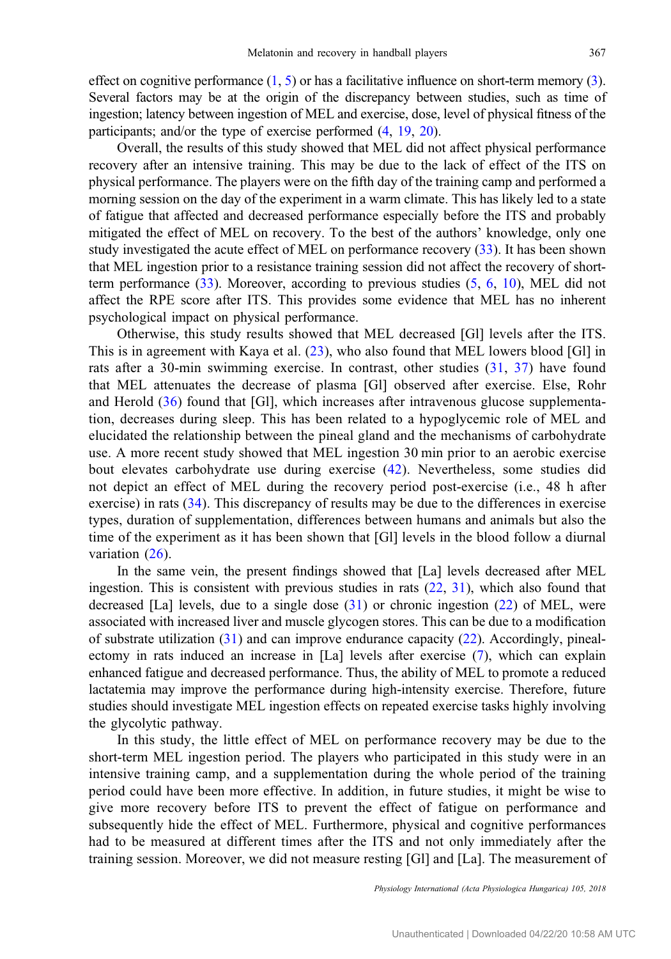effect on cognitive performance  $(1, 5)$  $(1, 5)$  $(1, 5)$  $(1, 5)$  or has a facilitative influence on short-term memory  $(3)$  $(3)$ . Several factors may be at the origin of the discrepancy between studies, such as time of ingestion; latency between ingestion of MEL and exercise, dose, level of physical fitness of the participants; and/or the type of exercise performed [\(4](#page-10-0), [19,](#page-11-0) [20\)](#page-11-0).

Overall, the results of this study showed that MEL did not affect physical performance recovery after an intensive training. This may be due to the lack of effect of the ITS on physical performance. The players were on the fifth day of the training camp and performed a morning session on the day of the experiment in a warm climate. This has likely led to a state of fatigue that affected and decreased performance especially before the ITS and probably mitigated the effect of MEL on recovery. To the best of the authors' knowledge, only one study investigated the acute effect of MEL on performance recovery [\(33](#page-11-0)). It has been shown that MEL ingestion prior to a resistance training session did not affect the recovery of shortterm performance ([33\)](#page-11-0). Moreover, according to previous studies ([5,](#page-10-0) [6](#page-10-0), [10](#page-10-0)), MEL did not affect the RPE score after ITS. This provides some evidence that MEL has no inherent psychological impact on physical performance.

Otherwise, this study results showed that MEL decreased [Gl] levels after the ITS. This is in agreement with Kaya et al. ([23](#page-11-0)), who also found that MEL lowers blood [Gl] in rats after a 30-min swimming exercise. In contrast, other studies ([31,](#page-11-0) [37](#page-11-0)) have found that MEL attenuates the decrease of plasma [Gl] observed after exercise. Else, Rohr and Herold ([36\)](#page-11-0) found that [Gl], which increases after intravenous glucose supplementation, decreases during sleep. This has been related to a hypoglycemic role of MEL and elucidated the relationship between the pineal gland and the mechanisms of carbohydrate use. A more recent study showed that MEL ingestion 30 min prior to an aerobic exercise bout elevates carbohydrate use during exercise [\(42](#page-12-0)). Nevertheless, some studies did not depict an effect of MEL during the recovery period post-exercise (i.e., 48 h after exercise) in rats [\(34](#page-11-0)). This discrepancy of results may be due to the differences in exercise types, duration of supplementation, differences between humans and animals but also the time of the experiment as it has been shown that [Gl] levels in the blood follow a diurnal variation  $(26)$  $(26)$  $(26)$ .

In the same vein, the present findings showed that [La] levels decreased after MEL ingestion. This is consistent with previous studies in rats [\(22](#page-11-0), [31\)](#page-11-0), which also found that decreased [La] levels, due to a single dose ([31\)](#page-11-0) or chronic ingestion [\(22](#page-11-0)) of MEL, were associated with increased liver and muscle glycogen stores. This can be due to a modification of substrate utilization ([31\)](#page-11-0) and can improve endurance capacity ([22\)](#page-11-0). Accordingly, pinealectomy in rats induced an increase in [La] levels after exercise [\(7](#page-10-0)), which can explain enhanced fatigue and decreased performance. Thus, the ability of MEL to promote a reduced lactatemia may improve the performance during high-intensity exercise. Therefore, future studies should investigate MEL ingestion effects on repeated exercise tasks highly involving the glycolytic pathway.

In this study, the little effect of MEL on performance recovery may be due to the short-term MEL ingestion period. The players who participated in this study were in an intensive training camp, and a supplementation during the whole period of the training period could have been more effective. In addition, in future studies, it might be wise to give more recovery before ITS to prevent the effect of fatigue on performance and subsequently hide the effect of MEL. Furthermore, physical and cognitive performances had to be measured at different times after the ITS and not only immediately after the training session. Moreover, we did not measure resting [Gl] and [La]. The measurement of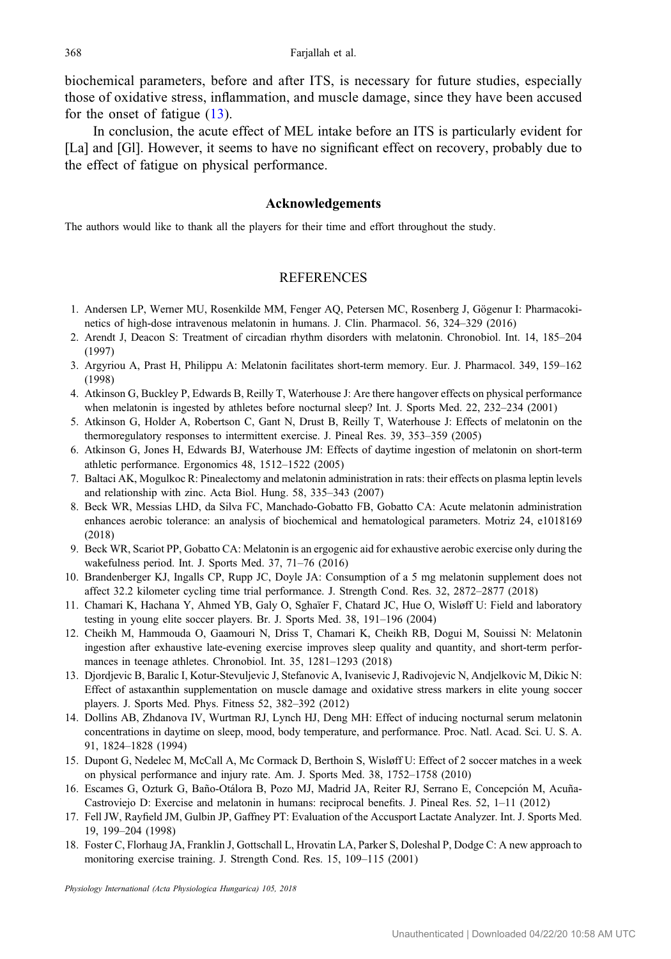<span id="page-10-0"></span>biochemical parameters, before and after ITS, is necessary for future studies, especially those of oxidative stress, inflammation, and muscle damage, since they have been accused for the onset of fatigue (13).

In conclusion, the acute effect of MEL intake before an ITS is particularly evident for [La] and [Gl]. However, it seems to have no significant effect on recovery, probably due to the effect of fatigue on physical performance.

#### Acknowledgements

The authors would like to thank all the players for their time and effort throughout the study.

## **REFERENCES**

- 1. Andersen LP, Werner MU, Rosenkilde MM, Fenger AQ, Petersen MC, Rosenberg J, Gögenur I: Pharmacokinetics of high-dose intravenous melatonin in humans. J. Clin. Pharmacol. 56, 324–329 (2016)
- 2. Arendt J, Deacon S: Treatment of circadian rhythm disorders with melatonin. Chronobiol. Int. 14, 185–204 (1997)
- 3. Argyriou A, Prast H, Philippu A: Melatonin facilitates short-term memory. Eur. J. Pharmacol. 349, 159–162 (1998)
- 4. Atkinson G, Buckley P, Edwards B, Reilly T, Waterhouse J: Are there hangover effects on physical performance when melatonin is ingested by athletes before nocturnal sleep? Int. J. Sports Med. 22, 232–234 (2001)
- 5. Atkinson G, Holder A, Robertson C, Gant N, Drust B, Reilly T, Waterhouse J: Effects of melatonin on the thermoregulatory responses to intermittent exercise. J. Pineal Res. 39, 353–359 (2005)
- 6. Atkinson G, Jones H, Edwards BJ, Waterhouse JM: Effects of daytime ingestion of melatonin on short-term athletic performance. Ergonomics 48, 1512–1522 (2005)
- 7. Baltaci AK, Mogulkoc R: Pinealectomy and melatonin administration in rats: their effects on plasma leptin levels and relationship with zinc. Acta Biol. Hung. 58, 335–343 (2007)
- 8. Beck WR, Messias LHD, da Silva FC, Manchado-Gobatto FB, Gobatto CA: Acute melatonin administration enhances aerobic tolerance: an analysis of biochemical and hematological parameters. Motriz 24, e1018169 (2018)
- 9. Beck WR, Scariot PP, Gobatto CA: Melatonin is an ergogenic aid for exhaustive aerobic exercise only during the wakefulness period. Int. J. Sports Med. 37, 71–76 (2016)
- 10. Brandenberger KJ, Ingalls CP, Rupp JC, Doyle JA: Consumption of a 5 mg melatonin supplement does not affect 32.2 kilometer cycling time trial performance. J. Strength Cond. Res. 32, 2872–2877 (2018)
- 11. Chamari K, Hachana Y, Ahmed YB, Galy O, Sghaïer F, Chatard JC, Hue O, Wisløff U: Field and laboratory testing in young elite soccer players. Br. J. Sports Med. 38, 191–196 (2004)
- 12. Cheikh M, Hammouda O, Gaamouri N, Driss T, Chamari K, Cheikh RB, Dogui M, Souissi N: Melatonin ingestion after exhaustive late-evening exercise improves sleep quality and quantity, and short-term performances in teenage athletes. Chronobiol. Int. 35, 1281–1293 (2018)
- 13. Djordjevic B, Baralic I, Kotur-Stevuljevic J, Stefanovic A, Ivanisevic J, Radivojevic N, Andjelkovic M, Dikic N: Effect of astaxanthin supplementation on muscle damage and oxidative stress markers in elite young soccer players. J. Sports Med. Phys. Fitness 52, 382–392 (2012)
- 14. Dollins AB, Zhdanova IV, Wurtman RJ, Lynch HJ, Deng MH: Effect of inducing nocturnal serum melatonin concentrations in daytime on sleep, mood, body temperature, and performance. Proc. Natl. Acad. Sci. U. S. A. 91, 1824–1828 (1994)
- 15. Dupont G, Nedelec M, McCall A, Mc Cormack D, Berthoin S, Wisløff U: Effect of 2 soccer matches in a week on physical performance and injury rate. Am. J. Sports Med. 38, 1752–1758 (2010)
- 16. Escames G, Ozturk G, Baño-Otálora B, Pozo MJ, Madrid JA, Reiter RJ, Serrano E, Concepción M, Acuña-Castroviejo D: Exercise and melatonin in humans: reciprocal benefits. J. Pineal Res. 52, 1–11 (2012)
- 17. Fell JW, Rayfield JM, Gulbin JP, Gaffney PT: Evaluation of the Accusport Lactate Analyzer. Int. J. Sports Med. 19, 199–204 (1998)
- 18. Foster C, Florhaug JA, Franklin J, Gottschall L, Hrovatin LA, Parker S, Doleshal P, Dodge C: A new approach to monitoring exercise training. J. Strength Cond. Res. 15, 109–115 (2001)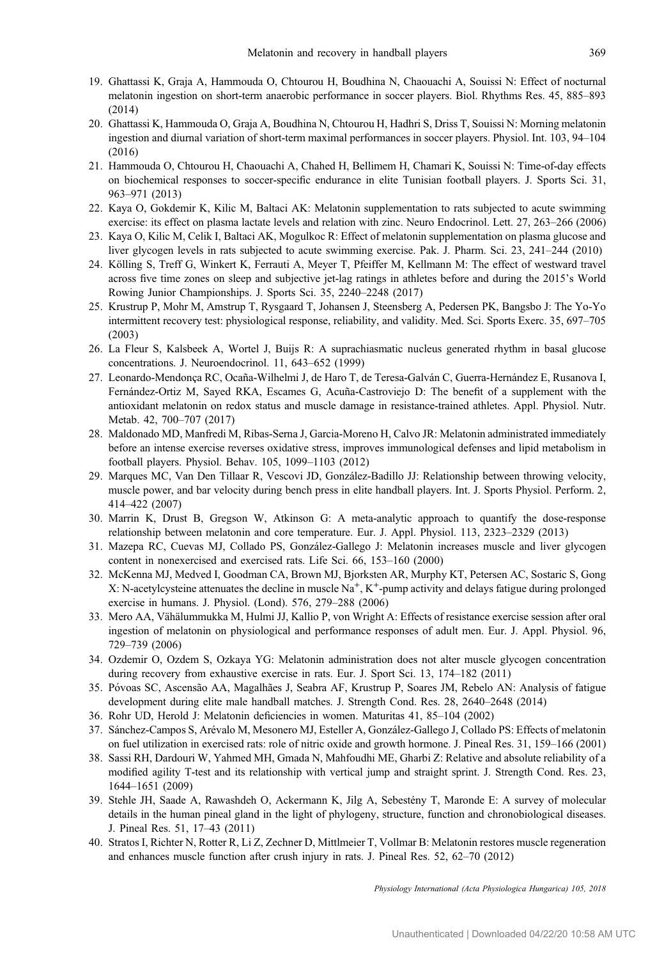- <span id="page-11-0"></span>19. Ghattassi K, Graja A, Hammouda O, Chtourou H, Boudhina N, Chaouachi A, Souissi N: Effect of nocturnal melatonin ingestion on short-term anaerobic performance in soccer players. Biol. Rhythms Res. 45, 885–893 (2014)
- 20. Ghattassi K, Hammouda O, Graja A, Boudhina N, Chtourou H, Hadhri S, Driss T, Souissi N: Morning melatonin ingestion and diurnal variation of short-term maximal performances in soccer players. Physiol. Int. 103, 94–104 (2016)
- 21. Hammouda O, Chtourou H, Chaouachi A, Chahed H, Bellimem H, Chamari K, Souissi N: Time-of-day effects on biochemical responses to soccer-specific endurance in elite Tunisian football players. J. Sports Sci. 31, 963–971 (2013)
- 22. Kaya O, Gokdemir K, Kilic M, Baltaci AK: Melatonin supplementation to rats subjected to acute swimming exercise: its effect on plasma lactate levels and relation with zinc. Neuro Endocrinol. Lett. 27, 263–266 (2006)
- 23. Kaya O, Kilic M, Celik I, Baltaci AK, Mogulkoc R: Effect of melatonin supplementation on plasma glucose and liver glycogen levels in rats subjected to acute swimming exercise. Pak. J. Pharm. Sci. 23, 241–244 (2010)
- 24. Kölling S, Treff G, Winkert K, Ferrauti A, Meyer T, Pfeiffer M, Kellmann M: The effect of westward travel across five time zones on sleep and subjective jet-lag ratings in athletes before and during the 2015's World Rowing Junior Championships. J. Sports Sci. 35, 2240–2248 (2017)
- 25. Krustrup P, Mohr M, Amstrup T, Rysgaard T, Johansen J, Steensberg A, Pedersen PK, Bangsbo J: The Yo-Yo intermittent recovery test: physiological response, reliability, and validity. Med. Sci. Sports Exerc. 35, 697–705 (2003)
- 26. La Fleur S, Kalsbeek A, Wortel J, Buijs R: A suprachiasmatic nucleus generated rhythm in basal glucose concentrations. J. Neuroendocrinol. 11, 643–652 (1999)
- 27. Leonardo-Mendonça RC, Ocana-Wilhelmi J, de Haro T, de Teresa-Galván C, Guerra-Hernández E, Rusanova I, ˜ Fernández-Ortiz M, Sayed RKA, Escames G, Acuña-Castroviejo D: The benefit of a supplement with the antioxidant melatonin on redox status and muscle damage in resistance-trained athletes. Appl. Physiol. Nutr. Metab. 42, 700–707 (2017)
- 28. Maldonado MD, Manfredi M, Ribas-Serna J, Garcia-Moreno H, Calvo JR: Melatonin administrated immediately before an intense exercise reverses oxidative stress, improves immunological defenses and lipid metabolism in football players. Physiol. Behav. 105, 1099–1103 (2012)
- 29. Marques MC, Van Den Tillaar R, Vescovi JD, González-Badillo JJ: Relationship between throwing velocity, muscle power, and bar velocity during bench press in elite handball players. Int. J. Sports Physiol. Perform. 2, 414–422 (2007)
- 30. Marrin K, Drust B, Gregson W, Atkinson G: A meta-analytic approach to quantify the dose-response relationship between melatonin and core temperature. Eur. J. Appl. Physiol. 113, 2323–2329 (2013)
- 31. Mazepa RC, Cuevas MJ, Collado PS, González-Gallego J: Melatonin increases muscle and liver glycogen content in nonexercised and exercised rats. Life Sci. 66, 153–160 (2000)
- 32. McKenna MJ, Medved I, Goodman CA, Brown MJ, Bjorksten AR, Murphy KT, Petersen AC, Sostaric S, Gong X: N-acetylcysteine attenuates the decline in muscle Na+, K+-pump activity and delays fatigue during prolonged exercise in humans. J. Physiol. (Lond). 576, 279–288 (2006)
- 33. Mero AA, Vähälummukka M, Hulmi JJ, Kallio P, von Wright A: Effects of resistance exercise session after oral ingestion of melatonin on physiological and performance responses of adult men. Eur. J. Appl. Physiol. 96, 729–739 (2006)
- 34. Ozdemir O, Ozdem S, Ozkaya YG: Melatonin administration does not alter muscle glycogen concentration during recovery from exhaustive exercise in rats. Eur. J. Sport Sci. 13, 174–182 (2011)
- 35. Póvoas SC, Ascensão AA, Magalhães J, Seabra AF, Krustrup P, Soares JM, Rebelo AN: Analysis of fatigue development during elite male handball matches. J. Strength Cond. Res. 28, 2640–2648 (2014)
- 36. Rohr UD, Herold J: Melatonin deficiencies in women. Maturitas 41, 85–104 (2002)
- 37. Sánchez-Campos S, Arévalo M, Mesonero MJ, Esteller A, González-Gallego J, Collado PS: Effects of melatonin on fuel utilization in exercised rats: role of nitric oxide and growth hormone. J. Pineal Res. 31, 159–166 (2001)
- 38. Sassi RH, Dardouri W, Yahmed MH, Gmada N, Mahfoudhi ME, Gharbi Z: Relative and absolute reliability of a modified agility T-test and its relationship with vertical jump and straight sprint. J. Strength Cond. Res. 23, 1644–1651 (2009)
- 39. Stehle JH, Saade A, Rawashdeh O, Ackermann K, Jilg A, Sebestény T, Maronde E: A survey of molecular details in the human pineal gland in the light of phylogeny, structure, function and chronobiological diseases. J. Pineal Res. 51, 17–43 (2011)
- 40. Stratos I, Richter N, Rotter R, Li Z, Zechner D, Mittlmeier T, Vollmar B: Melatonin restores muscle regeneration and enhances muscle function after crush injury in rats. J. Pineal Res. 52, 62–70 (2012)